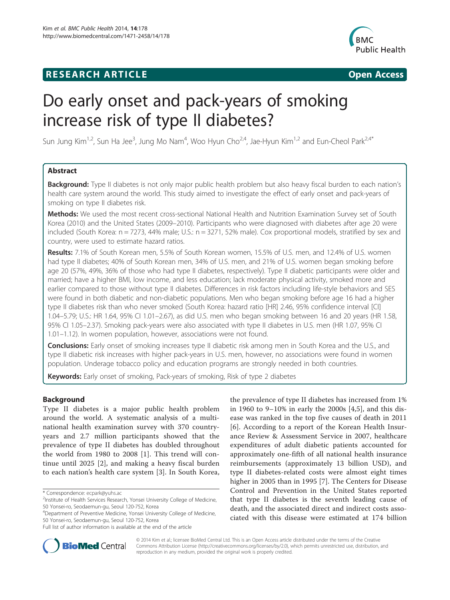# **RESEARCH ARTICLE Example 2014 CONSIDERING CONSIDERING CONSIDERING CONSIDERING CONSIDERING CONSIDERING CONSIDERING CONSIDERING CONSIDERING CONSIDERING CONSIDERING CONSIDERING CONSIDERING CONSIDERING CONSIDERING CONSIDE**



# Do early onset and pack-years of smoking increase risk of type II diabetes?

Sun Jung Kim $^{1,2}$ , Sun Ha Jee $^3$ , Jung Mo Nam $^4$ , Woo Hyun Cho $^{2,4}$ , Jae-Hyun Kim $^{1,2}$  and Eun-Cheol Park $^{2,4^*}$ 

# Abstract

Background: Type II diabetes is not only major public health problem but also heavy fiscal burden to each nation's health care system around the world. This study aimed to investigate the effect of early onset and pack-years of smoking on type II diabetes risk.

Methods: We used the most recent cross-sectional National Health and Nutrition Examination Survey set of South Korea (2010) and the United States (2009–2010). Participants who were diagnosed with diabetes after age 20 were included (South Korea: n = 7273, 44% male; U.S.: n = 3271, 52% male). Cox proportional models, stratified by sex and country, were used to estimate hazard ratios.

Results: 7.1% of South Korean men, 5.5% of South Korean women, 15.5% of U.S. men, and 12.4% of U.S. women had type II diabetes; 40% of South Korean men, 34% of U.S. men, and 21% of U.S. women began smoking before age 20 (57%, 49%, 36% of those who had type II diabetes, respectively). Type II diabetic participants were older and married; have a higher BMI, low income, and less education; lack moderate physical activity, smoked more and earlier compared to those without type II diabetes. Differences in risk factors including life-style behaviors and SES were found in both diabetic and non-diabetic populations. Men who began smoking before age 16 had a higher type II diabetes risk than who never smoked (South Korea: hazard ratio [HR] 2.46, 95% confidence interval [CI] 1.04–5.79; U.S.: HR 1.64, 95% CI 1.01–2.67), as did U.S. men who began smoking between 16 and 20 years (HR 1.58, 95% CI 1.05–2.37). Smoking pack-years were also associated with type II diabetes in U.S. men (HR 1.07, 95% CI 1.01–1.12). In women population, however, associations were not found.

**Conclusions:** Early onset of smoking increases type II diabetic risk among men in South Korea and the U.S., and type II diabetic risk increases with higher pack-years in U.S. men, however, no associations were found in women population. Underage tobacco policy and education programs are strongly needed in both countries.

Keywords: Early onset of smoking, Pack-years of smoking, Risk of type 2 diabetes

# Background

Type II diabetes is a major public health problem around the world. A systematic analysis of a multinational health examination survey with 370 countryyears and 2.7 million participants showed that the prevalence of type II diabetes has doubled throughout the world from 1980 to 2008 [[1\]](#page-10-0). This trend will continue until 2025 [\[2](#page-10-0)], and making a heavy fiscal burden to each nation's health care system [[3](#page-10-0)]. In South Korea, the prevalence of type II diabetes has increased from 1% in 1960 to 9–10% in early the 2000s [[4,5\]](#page-10-0), and this disease was ranked in the top five causes of death in 2011 [[6](#page-10-0)]. According to a report of the Korean Health Insurance Review & Assessment Service in 2007, healthcare expenditures of adult diabetic patients accounted for approximately one-fifth of all national health insurance reimbursements (approximately 13 billion USD), and type II diabetes-related costs were almost eight times higher in 2005 than in 1995 [[7\]](#page-10-0). The Centers for Disease Control and Prevention in the United States reported that type II diabetes is the seventh leading cause of death, and the associated direct and indirect costs associated with this disease were estimated at 174 billion



© 2014 Kim et al.; licensee BioMed Central Ltd. This is an Open Access article distributed under the terms of the Creative Commons Attribution License [\(http://creativecommons.org/licenses/by/2.0\)](http://creativecommons.org/licenses/by/2.0), which permits unrestricted use, distribution, and reproduction in any medium, provided the original work is properly credited.

<sup>\*</sup> Correspondence: [ecpark@yuhs.ac](mailto:ecpark@yuhs.ac) <sup>2</sup>

<sup>&</sup>lt;sup>2</sup>Institute of Health Services Research, Yonsei University College of Medicine, 50 Yonsei-ro, Seodaemun-gu, Seoul 120-752, Korea

<sup>4</sup> Department of Preventive Medicine, Yonsei University College of Medicine, 50 Yonsei-ro, Seodaemun-gu, Seoul 120-752, Korea

Full list of author information is available at the end of the article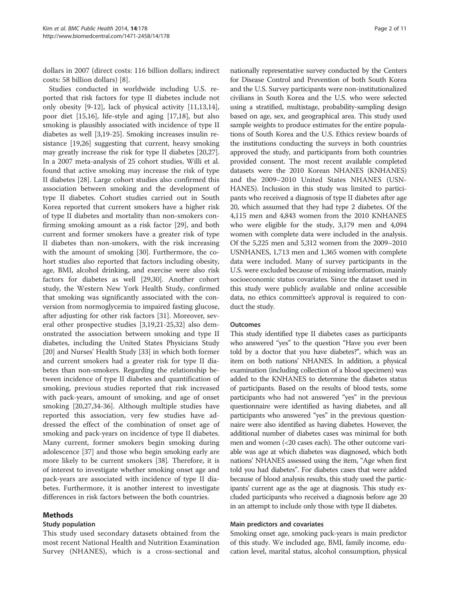dollars in 2007 (direct costs: 116 billion dollars; indirect costs: 58 billion dollars) [[8\]](#page-10-0).

Studies conducted in worldwide including U.S. reported that risk factors for type II diabetes include not only obesity [\[9](#page-10-0)-[12\]](#page-10-0), lack of physical activity [\[11,13,14](#page-10-0)], poor diet [[15,16\]](#page-10-0), life-style and aging [\[17,18](#page-10-0)], but also smoking is plausibly associated with incidence of type II diabetes as well [\[3,19](#page-10-0)-[25\]](#page-10-0). Smoking increases insulin resistance [[19,26\]](#page-10-0) suggesting that current, heavy smoking may greatly increase the risk for type II diabetes [\[20,27](#page-10-0)]. In a 2007 meta-analysis of 25 cohort studies, Willi et al. found that active smoking may increase the risk of type II diabetes [[28\]](#page-10-0). Large cohort studies also confirmed this association between smoking and the development of type II diabetes. Cohort studies carried out in South Korea reported that current smokers have a higher risk of type II diabetes and mortality than non-smokers confirming smoking amount as a risk factor [\[29\]](#page-10-0), and both current and former smokers have a greater risk of type II diabetes than non-smokers, with the risk increasing with the amount of smoking [[30\]](#page-10-0). Furthermore, the cohort studies also reported that factors including obesity, age, BMI, alcohol drinking, and exercise were also risk factors for diabetes as well [\[29,30](#page-10-0)]. Another cohort study, the Western New York Health Study, confirmed that smoking was significantly associated with the conversion from normoglycemia to impaired fasting glucose, after adjusting for other risk factors [[31\]](#page-10-0). Moreover, several other prospective studies [[3,19,21-25,32\]](#page-10-0) also demonstrated the association between smoking and type II diabetes, including the United States Physicians Study [[20\]](#page-10-0) and Nurses' Health Study [[33](#page-10-0)] in which both former and current smokers had a greater risk for type II diabetes than non-smokers. Regarding the relationship between incidence of type II diabetes and quantification of smoking, previous studies reported that risk increased with pack-years, amount of smoking, and age of onset smoking [\[20,27,34](#page-10-0)-[36\]](#page-10-0). Although multiple studies have reported this association, very few studies have addressed the effect of the combination of onset age of smoking and pack-years on incidence of type II diabetes. Many current, former smokers begin smoking during adolescence [[37](#page-10-0)] and those who begin smoking early are more likely to be current smokers [[38\]](#page-10-0). Therefore, it is of interest to investigate whether smoking onset age and pack-years are associated with incidence of type II diabetes. Furthermore, it is another interest to investigate differences in risk factors between the both countries.

## Methods

#### Study population

This study used secondary datasets obtained from the most recent National Health and Nutrition Examination Survey (NHANES), which is a cross-sectional and

nationally representative survey conducted by the Centers for Disease Control and Prevention of both South Korea and the U.S. Survey participants were non-institutionalized civilians in South Korea and the U.S. who were selected using a stratified, multistage, probability-sampling design based on age, sex, and geographical area. This study used sample weights to produce estimates for the entire populations of South Korea and the U.S. Ethics review boards of the institutions conducting the surveys in both countries approved the study, and participants from both countries provided consent. The most recent available completed datasets were the 2010 Korean NHANES (KNHANES) and the 2009–2010 United States NHANES (USN-HANES). Inclusion in this study was limited to participants who received a diagnosis of type II diabetes after age 20, which assumed that they had type 2 diabetes. Of the 4,115 men and 4,843 women from the 2010 KNHANES who were eligible for the study, 3,179 men and 4,094 women with complete data were included in the analysis. Of the 5,225 men and 5,312 women from the 2009–2010 USNHANES, 1,713 men and 1,365 women with complete data were included. Many of survey participants in the U.S. were excluded because of missing information, mainly socioeconomic status covariates. Since the dataset used in this study were publicly available and online accessible data, no ethics committee's approval is required to conduct the study.

#### **Outcomes**

This study identified type II diabetes cases as participants who answered "yes" to the question "Have you ever been told by a doctor that you have diabetes?", which was an item on both nations' NHANES. In addition, a physical examination (including collection of a blood specimen) was added to the KNHANES to determine the diabetes status of participants. Based on the results of blood tests, some participants who had not answered "yes" in the previous questionnaire were identified as having diabetes, and all participants who answered "yes" in the previous questionnaire were also identified as having diabetes. However, the additional number of diabetes cases was minimal for both men and women (<20 cases each). The other outcome variable was age at which diabetes was diagnosed, which both nations' NHANES assessed using the item, "Age when first told you had diabetes". For diabetes cases that were added because of blood analysis results, this study used the participants' current age as the age at diagnosis. This study excluded participants who received a diagnosis before age 20 in an attempt to include only those with type II diabetes.

#### Main predictors and covariates

Smoking onset age, smoking pack-years is main predictor of this study. We included age, BMI, family income, education level, marital status, alcohol consumption, physical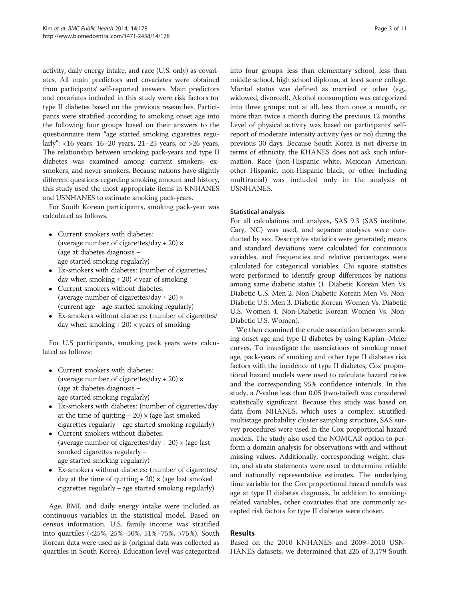activity, daily energy intake, and race (U.S. only) as covariates. All main predictors and covariates were obtained from participants' self-reported answers. Main predictors and covariates included in this study were risk factors for type II diabetes based on the previous researches. Participants were stratified according to smoking onset age into the following four groups based on their answers to the questionnaire item "age started smoking cigarettes regularly":  $<16$  years,  $16-20$  years,  $21-25$  years, or  $>26$  years. The relationship between smoking pack-years and type II diabetes was examined among current smokers, exsmokers, and never-smokers. Because nations have slightly different questions regarding smoking amount and history, this study used the most appropriate items in KNHANES and USNHANES to estimate smoking pack-years.

For South Korean participants, smoking pack-year was calculated as follows.

- Current smokers with diabetes: (average number of cigarettes/day  $\div$  20)  $\times$ (age at diabetes diagnosis − age started smoking regularly)
- Ex-smokers with diabetes: (number of cigarettes/ day when smoking  $\div$  20)  $\times$  year of smoking
- Current smokers without diabetes: (average number of cigarettes/day  $\div$  20)  $\times$ (current age − age started smoking regularly)
- Ex-smokers without diabetes: (number of cigarettes/ day when smoking  $\div$  20)  $\times$  years of smoking

For U.S participants, smoking pack years were calculated as follows:

- Current smokers with diabetes: (average number of cigarettes/day  $\div$  20)  $\times$ (age at diabetes diagnosis − age started smoking regularly)
- Ex-smokers with diabetes: (number of cigarettes/day at the time of quitting  $\div$  20)  $\times$  (age last smoked cigarettes regularly − age started smoking regularly)
- Current smokers without diabetes: (average number of cigarettes/day  $\div$  20)  $\times$  (age last smoked cigarettes regularly − age started smoking regularly)
- Ex-smokers without diabetes: (number of cigarettes/ day at the time of quitting  $\div$  20)  $\times$  (age last smoked cigarettes regularly − age started smoking regularly)

Age, BMI, and daily energy intake were included as continuous variables in the statistical model. Based on census information, U.S. family income was stratified into quartiles (<25%, 25%–50%, 51%–75%, >75%). South Korean data were used as is (original data was collected as quartiles in South Korea). Education level was categorized

into four groups: less than elementary school, less than middle school, high school diploma, at least some college. Marital status was defined as married or other (e.g., widowed, divorced). Alcohol consumption was categorized into three groups: not at all, less than once a month, or more than twice a month during the previous 12 months. Level of physical activity was based on participants' selfreport of moderate intensity activity (yes or no) during the previous 30 days. Because South Korea is not diverse in terms of ethnicity, the KHANES does not ask such information. Race (non-Hispanic white, Mexican American, other Hispanic, non-Hispanic black, or other including multiracial) was included only in the analysis of USNHANES.

# Statistical analysis

For all calculations and analysis, SAS 9.3 (SAS institute, Cary, NC) was used, and separate analyses were conducted by sex. Descriptive statistics were generated; means and standard deviations were calculated for continuous variables, and frequencies and relative percentages were calculated for categorical variables. Chi square statistics were performed to identify group differences by nations among same diabetic status (1. Diabetic Korean Men Vs. Diabetic U.S. Men 2. Non-Diabetic Korean Men Vs. Non-Diabetic U.S. Men 3. Diabetic Korean Women Vs. Diabetic U.S. Women 4. Non-Diabetic Korean Women Vs. Non-Diabetic U.S. Women).

We then examined the crude association between smoking onset age and type II diabetes by using Kaplan–Meier curves. To investigate the associations of smoking onset age, pack-years of smoking and other type II diabetes risk factors with the incidence of type II diabetes, Cox proportional hazard models were used to calculate hazard ratios and the corresponding 95% confidence intervals. In this study, a P-value less than 0.05 (two-tailed) was considered statistically significant. Because this study was based on data from NHANES, which uses a complex, stratified, multistage probability cluster sampling structure, SAS survey procedures were used in the Cox proportional hazard models. The study also used the NOMCAR option to perform a domain analysis for observations with and without missing values. Additionally, corresponding weight, cluster, and strata statements were used to determine reliable and nationally representative estimates. The underlying time variable for the Cox proportional hazard models was age at type II diabetes diagnosis. In addition to smokingrelated variables, other covariates that are commonly accepted risk factors for type II diabetes were chosen.

# Results

Based on the 2010 KNHANES and 2009–2010 USN-HANES datasets, we determined that 225 of 3,179 South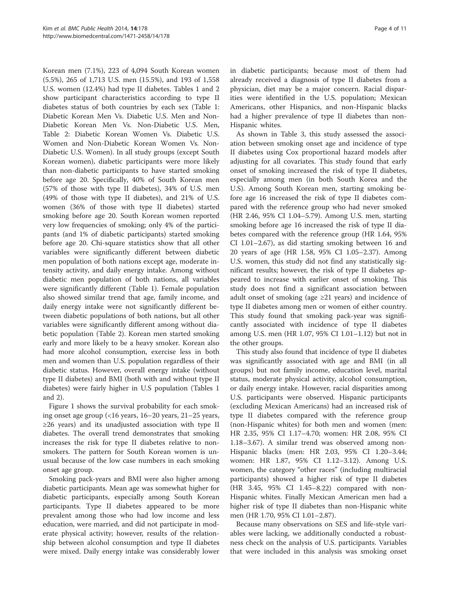Korean men (7.1%), 223 of 4,094 South Korean women (5.5%), 265 of 1,713 U.S. men (15.5%), and 193 of 1,558 U.S. women (12.4%) had type II diabetes. Tables [1](#page-4-0) and [2](#page-5-0) show participant characteristics according to type II diabetes status of both countries by each sex (Table [1](#page-4-0): Diabetic Korean Men Vs. Diabetic U.S. Men and Non-Diabetic Korean Men Vs. Non-Diabetic U.S. Men, Table [2](#page-5-0): Diabetic Korean Women Vs. Diabetic U.S. Women and Non-Diabetic Korean Women Vs. Non-Diabetic U.S. Women). In all study groups (except South Korean women), diabetic participants were more likely than non-diabetic participants to have started smoking before age 20. Specifically, 40% of South Korean men (57% of those with type II diabetes), 34% of U.S. men (49% of those with type II diabetes), and 21% of U.S. women (36% of those with type II diabetes) started smoking before age 20. South Korean women reported very low frequencies of smoking; only 4% of the participants (and 1% of diabetic participants) started smoking before age 20. Chi-square statistics show that all other variables were significantly different between diabetic men population of both nations except age, moderate intensity activity, and daily energy intake. Among without diabetic men population of both nations, all variables were significantly different (Table [1\)](#page-4-0). Female population also showed similar trend that age, family income, and daily energy intake were not significantly different between diabetic populations of both nations, but all other variables were significantly different among without diabetic population (Table [2](#page-5-0)). Korean men started smoking early and more likely to be a heavy smoker. Korean also had more alcohol consumption, exercise less in both men and women than U.S. population regardless of their diabetic status. However, overall energy intake (without type II diabetes) and BMI (both with and without type II diabetes) were fairly higher in U.S population (Tables [1](#page-4-0) and [2\)](#page-5-0).

Figure [1](#page-6-0) shows the survival probability for each smoking onset age group (<16 years, 16–20 years, 21–25 years, ≥26 years) and its unadjusted association with type II diabetes. The overall trend demonstrates that smoking increases the risk for type II diabetes relative to nonsmokers. The pattern for South Korean women is unusual because of the low case numbers in each smoking onset age group.

Smoking pack-years and BMI were also higher among diabetic participants. Mean age was somewhat higher for diabetic participants, especially among South Korean participants. Type II diabetes appeared to be more prevalent among those who had low income and less education, were married, and did not participate in moderate physical activity; however, results of the relationship between alcohol consumption and type II diabetes were mixed. Daily energy intake was considerably lower in diabetic participants; because most of them had already received a diagnosis of type II diabetes from a physician, diet may be a major concern. Racial disparities were identified in the U.S. population; Mexican Americans, other Hispanics, and non-Hispanic blacks had a higher prevalence of type II diabetes than non-Hispanic whites.

As shown in Table [3,](#page-7-0) this study assessed the association between smoking onset age and incidence of type II diabetes using Cox proportional hazard models after adjusting for all covariates. This study found that early onset of smoking increased the risk of type II diabetes, especially among men (in both South Korea and the U.S). Among South Korean men, starting smoking before age 16 increased the risk of type II diabetes compared with the reference group who had never smoked (HR 2.46, 95% CI 1.04–5.79). Among U.S. men, starting smoking before age 16 increased the risk of type II diabetes compared with the reference group (HR 1.64, 95% CI 1.01–2.67), as did starting smoking between 16 and 20 years of age (HR 1.58, 95% CI 1.05–2.37). Among U.S. women, this study did not find any statistically significant results; however, the risk of type II diabetes appeared to increase with earlier onset of smoking. This study does not find a significant association between adult onset of smoking (age  $\geq 21$  years) and incidence of type II diabetes among men or women of either country. This study found that smoking pack-year was significantly associated with incidence of type II diabetes among U.S. men (HR 1.07, 95% CI 1.01–1.12) but not in the other groups.

This study also found that incidence of type II diabetes was significantly associated with age and BMI (in all groups) but not family income, education level, marital status, moderate physical activity, alcohol consumption, or daily energy intake. However, racial disparities among U.S. participants were observed. Hispanic participants (excluding Mexican Americans) had an increased risk of type II diabetes compared with the reference group (non-Hispanic whites) for both men and women (men: HR 2.35, 95% CI 1.17–4.70; women: HR 2.08, 95% CI 1.18–3.67). A similar trend was observed among non-Hispanic blacks (men: HR 2.03, 95% CI 1.20–3.44; women: HR 1.87, 95% CI 1.12–3.12). Among U.S. women, the category "other races" (including multiracial participants) showed a higher risk of type II diabetes (HR 3.45, 95% CI 1.45–8.22) compared with non-Hispanic whites. Finally Mexican American men had a higher risk of type II diabetes than non-Hispanic white men (HR 1.70, 95% CI 1.01–2.87).

Because many observations on SES and life-style variables were lacking, we additionally conducted a robustness check on the analysis of U.S. participants. Variables that were included in this analysis was smoking onset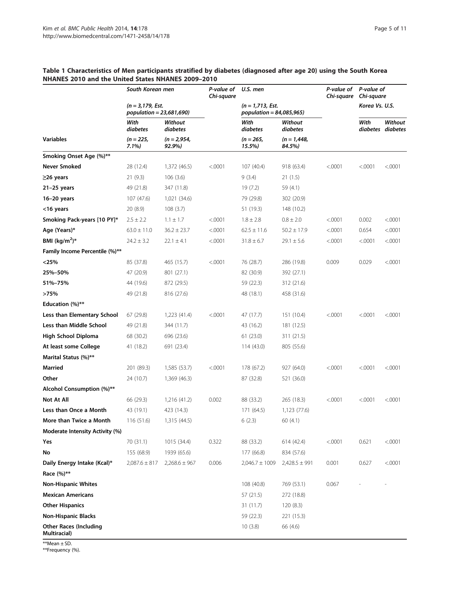|                                               | South Korean men<br>(n = 3,179, Est.<br>population = 23,681,690) |                       | P-value of<br>Chi-square | U.S. men<br>$(n = 1, 713, Est.$<br>population = 84,085,965) |                         | P-value of<br>Chi-square | P-value of<br>Chi-square<br>Korea Vs. U.S. |                              |
|-----------------------------------------------|------------------------------------------------------------------|-----------------------|--------------------------|-------------------------------------------------------------|-------------------------|--------------------------|--------------------------------------------|------------------------------|
|                                               |                                                                  |                       |                          |                                                             |                         |                          |                                            |                              |
|                                               | With<br>diabetes                                                 | Without<br>diabetes   |                          | With<br>diabetes                                            | Without<br>diabetes     |                          | With                                       | Without<br>diabetes diabetes |
| <b>Variables</b>                              | (n = 225,<br>7.1%)                                               | (n = 2,954,<br>92.9%) |                          | (n = 265,<br>15.5%)                                         | $(n = 1,448,$<br>84.5%) |                          |                                            |                              |
| Smoking Onset Age (%)**                       |                                                                  |                       |                          |                                                             |                         |                          |                                            |                              |
| <b>Never Smoked</b>                           | 28 (12.4)                                                        | 1,372 (46.5)          | < .0001                  | 107 (40.4)                                                  | 918 (63.4)              | < .0001                  | < .0001                                    | < .0001                      |
| ≥26 years                                     | 21(9.3)                                                          | 106(3.6)              |                          | 9(3.4)                                                      | 21(1.5)                 |                          |                                            |                              |
| 21-25 years                                   | 49 (21.8)                                                        | 347 (11.8)            |                          | 19 (7.2)                                                    | 59 (4.1)                |                          |                                            |                              |
| $16-20$ years                                 | 107 (47.6)                                                       | 1,021 (34.6)          |                          | 79 (29.8)                                                   | 302 (20.9)              |                          |                                            |                              |
| <16 years                                     | 20 (8.9)                                                         | 108(3.7)              |                          | 51 (19.3)                                                   | 148 (10.2)              |                          |                                            |                              |
| Smoking Pack-years [10 PY]*                   | $2.5 \pm 2.2$                                                    | $1.1 \pm 1.7$         | < .0001                  | $1.8 \pm 2.8$                                               | $0.8 \pm 2.0$           | < .0001                  | 0.002                                      | < .0001                      |
| Age (Years)*                                  | $63.0 \pm 11.0$                                                  | $36.2 \pm 23.7$       | < .0001                  | $62.5 \pm 11.6$                                             | $50.2 \pm 17.9$         | < .0001                  | 0.654                                      | < .0001                      |
| BMI (kg/m <sup>2</sup> )*                     | $24.2 \pm 3.2$                                                   | $22.1 \pm 4.1$        | < .0001                  | $31.8 \pm 6.7$                                              | $29.1 \pm 5.6$          | < 0001                   | < .0001                                    | < .0001                      |
| Family Income Percentile (%)**                |                                                                  |                       |                          |                                                             |                         |                          |                                            |                              |
| $<$ 25%                                       | 85 (37.8)                                                        | 465 (15.7)            | < .0001                  | 76 (28.7)                                                   | 286 (19.8)              | 0.009                    | 0.029                                      | < .0001                      |
| 25%–50%                                       | 47 (20.9)                                                        | 801 (27.1)            |                          | 82 (30.9)                                                   | 392 (27.1)              |                          |                                            |                              |
| 51%-75%                                       | 44 (19.6)                                                        | 872 (29.5)            |                          | 59 (22.3)                                                   | 312 (21.6)              |                          |                                            |                              |
| >75%                                          | 49 (21.8)                                                        | 816 (27.6)            |                          | 48 (18.1)                                                   | 458 (31.6)              |                          |                                            |                              |
| Education (%)**                               |                                                                  |                       |                          |                                                             |                         |                          |                                            |                              |
| Less than Elementary School                   | 67 (29.8)                                                        | 1,223 (41.4)          | < .0001                  | 47 (17.7)                                                   | 151 (10.4)              | < .0001                  | < .0001                                    | < .0001                      |
| Less than Middle School                       | 49 (21.8)                                                        | 344 (11.7)            |                          | 43 (16.2)                                                   | 181 (12.5)              |                          |                                            |                              |
| High School Diploma                           | 68 (30.2)                                                        | 696 (23.6)            |                          | 61(23.0)                                                    | 311 (21.5)              |                          |                                            |                              |
| At least some College                         | 41 (18.2)                                                        | 691 (23.4)            |                          | 114 (43.0)                                                  | 805 (55.6)              |                          |                                            |                              |
| Marital Status (%)**                          |                                                                  |                       |                          |                                                             |                         |                          |                                            |                              |
| Married                                       | 201 (89.3)                                                       | 1,585 (53.7)          | < .0001                  | 178 (67.2)                                                  | 927 (64.0)              | < .0001                  | < .0001                                    | < .0001                      |
| Other                                         | 24 (10.7)                                                        | 1,369 (46.3)          |                          | 87 (32.8)                                                   | 521 (36.0)              |                          |                                            |                              |
| Alcohol Consumption (%)**                     |                                                                  |                       |                          |                                                             |                         |                          |                                            |                              |
| <b>Not At All</b>                             | 66 (29.3)                                                        | 1,216 (41.2)          | 0.002                    | 88 (33.2)                                                   | 265 (18.3)              | < .0001                  | < .0001                                    | < .0001                      |
| Less than Once a Month                        | 43 (19.1)                                                        | 423 (14.3)            |                          | 171 (64.5)                                                  | 1,123 (77.6)            |                          |                                            |                              |
| More than Twice a Month                       | 116(51.6)                                                        | 1,315 (44.5)          |                          | 6(2.3)                                                      | 60 (4.1)                |                          |                                            |                              |
| Moderate Intensity Activity (%)               |                                                                  |                       |                          |                                                             |                         |                          |                                            |                              |
| Yes                                           | 70 (31.1)                                                        | 1015 (34.4)           | 0.322                    | 88 (33.2)                                                   | 614 (42.4)              | < .0001                  | 0.621                                      | < .0001                      |
| No                                            | 155 (68.9)                                                       | 1939 (65.6)           |                          | 177 (66.8)                                                  | 834 (57.6)              |                          |                                            |                              |
| Daily Energy Intake (Kcal)*                   | $2,087.6 \pm 817$                                                | $2,268.6 \pm 967$     | 0.006                    | $2,046.7 \pm 1009$                                          | $2,428.5 \pm 991$       | 0.001                    | 0.627                                      | < .0001                      |
| Race (%)**                                    |                                                                  |                       |                          |                                                             |                         |                          |                                            |                              |
| <b>Non-Hispanic Whites</b>                    |                                                                  |                       |                          | 108 (40.8)                                                  | 769 (53.1)              | 0.067                    |                                            |                              |
| <b>Mexican Americans</b>                      |                                                                  |                       |                          | 57 (21.5)                                                   | 272 (18.8)              |                          |                                            |                              |
| <b>Other Hispanics</b>                        |                                                                  |                       |                          | 31 (11.7)                                                   | 120(8.3)                |                          |                                            |                              |
| <b>Non-Hispanic Blacks</b>                    |                                                                  |                       |                          | 59 (22.3)                                                   | 221 (15.3)              |                          |                                            |                              |
| <b>Other Races (Including</b><br>Multiracial) |                                                                  |                       |                          | 10(3.8)                                                     | 66 (4.6)                |                          |                                            |                              |

## <span id="page-4-0"></span>Table 1 Characteristics of Men participants stratified by diabetes (diagnosed after age 20) using the South Korea NHANES 2010 and the United States NHANES 2009–2010

\*\*Mean ± SD.

\*\*Frequency (%).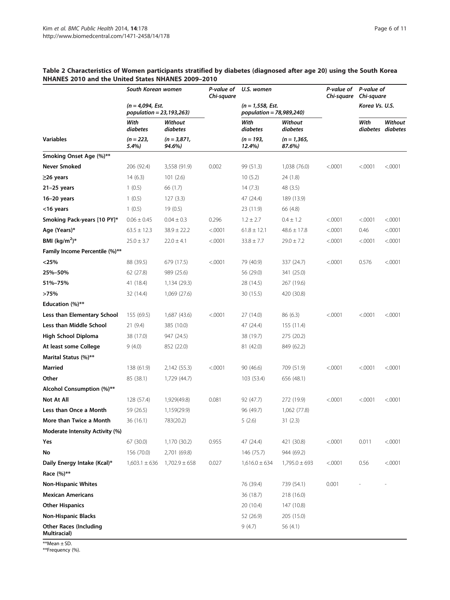|                                               | South Korean women |                                                     | P-value of<br>Chi-square | U.S. women<br>$(n = 1, 558, \text{ Est.})$<br>population = 78,989,240) |                          | P-value of<br>Chi-square | P-value of<br>Chi-square<br>Korea Vs. U.S. |                              |
|-----------------------------------------------|--------------------|-----------------------------------------------------|--------------------------|------------------------------------------------------------------------|--------------------------|--------------------------|--------------------------------------------|------------------------------|
|                                               |                    | (n = 4,094, Est.<br><i>population = 23,193,263)</i> |                          |                                                                        |                          |                          |                                            |                              |
|                                               | With<br>diabetes   | Without<br>diabetes                                 |                          | With<br>diabetes                                                       | Without<br>diabetes      |                          | With                                       | Without<br>diabetes diabetes |
| <b>Variables</b>                              | (n = 223,<br>5.4%) | $(n = 3,871,$<br>94.6%)                             |                          | (n = 193,<br>12.4%)                                                    | $(n = 1, 365,$<br>87.6%) |                          |                                            |                              |
| Smoking Onset Age (%)**                       |                    |                                                     |                          |                                                                        |                          |                          |                                            |                              |
| <b>Never Smoked</b>                           | 206 (92.4)         | 3,558 (91.9)                                        | 0.002                    | 99 (51.3)                                                              | 1,038 (76.0)             | < .0001                  | < .0001                                    | < .0001                      |
| ≥26 years                                     | 14(6.3)            | 101(2.6)                                            |                          | 10(5.2)                                                                | 24 (1.8)                 |                          |                                            |                              |
| $21-25$ years                                 | 1(0.5)             | 66 (1.7)                                            |                          | 14 (7.3)                                                               | 48 (3.5)                 |                          |                                            |                              |
| $16-20$ years                                 | 1(0.5)             | 127(3.3)                                            |                          | 47 (24.4)                                                              | 189 (13.9)               |                          |                                            |                              |
| <16 years                                     | 1(0.5)             | 19(0.5)                                             |                          | 23 (11.9)                                                              | 66 (4.8)                 |                          |                                            |                              |
| Smoking Pack-years [10 PY]*                   | $0.06 \pm 0.45$    | $0.04 \pm 0.3$                                      | 0.296                    | $1.2 \pm 2.7$                                                          | $0.4 \pm 1.2$            | < .0001                  | < .0001                                    | < .0001                      |
| Age (Years)*                                  | $63.5 \pm 12.3$    | $38.9 \pm 22.2$                                     | < .0001                  | $61.8 \pm 12.1$                                                        | $48.6 \pm 17.8$          | < .0001                  | 0.46                                       | < .0001                      |
| BMI (kg/m <sup>2</sup> )*                     | $25.0 \pm 3.7$     | $22.0 \pm 4.1$                                      | < .0001                  | $33.8 \pm 7.7$                                                         | $29.0 \pm 7.2$           | < 0001                   | < .0001                                    | < .0001                      |
| Family Income Percentile (%)**                |                    |                                                     |                          |                                                                        |                          |                          |                                            |                              |
| $<$ 25%                                       | 88 (39.5)          | 679 (17.5)                                          | < .0001                  | 79 (40.9)                                                              | 337 (24.7)               | < .0001                  | 0.576                                      | < .0001                      |
| 25%–50%                                       | 62 (27.8)          | 989 (25.6)                                          |                          | 56 (29.0)                                                              | 341 (25.0)               |                          |                                            |                              |
| 51%-75%                                       | 41 (18.4)          | 1,134 (29.3)                                        |                          | 28 (14.5)                                                              | 267 (19.6)               |                          |                                            |                              |
| >75%                                          | 32 (14.4)          | 1,069 (27.6)                                        |                          | 30 (15.5)                                                              | 420 (30.8)               |                          |                                            |                              |
| Education (%)**                               |                    |                                                     |                          |                                                                        |                          |                          |                                            |                              |
| Less than Elementary School                   | 155 (69.5)         | 1,687 (43.6)                                        | < .0001                  | 27 (14.0)                                                              | 86 (6.3)                 | < .0001                  | < .0001                                    | < .0001                      |
| Less than Middle School                       | 21 (9.4)           | 385 (10.0)                                          |                          | 47 (24.4)                                                              | 155 (11.4)               |                          |                                            |                              |
| High School Diploma                           | 38 (17.0)          | 947 (24.5)                                          |                          | 38 (19.7)                                                              | 275 (20.2)               |                          |                                            |                              |
| At least some College                         | 9(4.0)             | 852 (22.0)                                          |                          | 81 (42.0)                                                              | 849 (62.2)               |                          |                                            |                              |
| Marital Status (%)**                          |                    |                                                     |                          |                                                                        |                          |                          |                                            |                              |
| Married                                       | 138 (61.9)         | 2,142 (55.3)                                        | < .0001                  | 90 (46.6)                                                              | 709 (51.9)               | < .0001                  | < .0001                                    | < .0001                      |
| Other                                         | 85 (38.1)          | 1,729 (44.7)                                        |                          | 103 (53.4)                                                             | 656 (48.1)               |                          |                                            |                              |
| Alcohol Consumption (%)**                     |                    |                                                     |                          |                                                                        |                          |                          |                                            |                              |
| Not At All                                    | 128 (57.4)         | 1,929(49.8)                                         | 0.081                    | 92 (47.7)                                                              | 272 (19.9)               | < .0001                  | < .0001                                    | < .0001                      |
| Less than Once a Month                        | 59 (26.5)          | 1,159(29.9)                                         |                          | 96 (49.7)                                                              | 1,062 (77.8)             |                          |                                            |                              |
| More than Twice a Month                       | 36 (16.1)          | 783(20.2)                                           |                          | 5(2.6)                                                                 | 31(2.3)                  |                          |                                            |                              |
| Moderate Intensity Activity (%)               |                    |                                                     |                          |                                                                        |                          |                          |                                            |                              |
| Yes                                           | 67 (30.0)          | 1,170 (30.2)                                        | 0.955                    | 47 (24.4)                                                              | 421 (30.8)               | < .0001                  | 0.011                                      | < .0001                      |
| No                                            | 156 (70.0)         | 2,701 (69.8)                                        |                          | 146 (75.7)                                                             | 944 (69.2)               |                          |                                            |                              |
| Daily Energy Intake (Kcal)*                   | $1,603.1 \pm 636$  | $1,702.9 \pm 658$                                   | 0.027                    | $1,616.0 \pm 634$                                                      | $1,795.0 \pm 693$        | < 0001                   | 0.56                                       | < .0001                      |
| Race (%)**                                    |                    |                                                     |                          |                                                                        |                          |                          |                                            |                              |
| <b>Non-Hispanic Whites</b>                    |                    |                                                     |                          | 76 (39.4)                                                              | 739 (54.1)               | 0.001                    |                                            |                              |
| <b>Mexican Americans</b>                      |                    |                                                     |                          | 36 (18.7)                                                              | 218 (16.0)               |                          |                                            |                              |
| <b>Other Hispanics</b>                        |                    |                                                     |                          | 20 (10.4)                                                              | 147 (10.8)               |                          |                                            |                              |
| <b>Non-Hispanic Blacks</b>                    |                    |                                                     |                          | 52 (26.9)                                                              | 205 (15.0)               |                          |                                            |                              |
| <b>Other Races (Including</b><br>Multiracial) |                    |                                                     |                          | 9 (4.7)                                                                | 56 (4.1)                 |                          |                                            |                              |

#### <span id="page-5-0"></span>Table 2 Characteristics of Women participants stratified by diabetes (diagnosed after age 20) using the South Korea NHANES 2010 and the United States NHANES 2009–2010

\*\*Mean ± SD.

\*\*Frequency (%).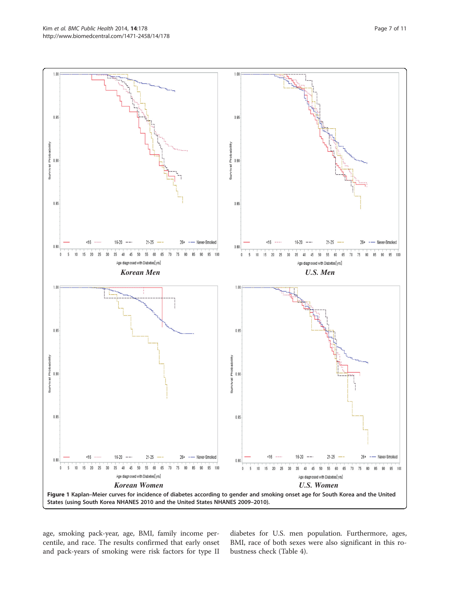<span id="page-6-0"></span>

age, smoking pack-year, age, BMI, family income percentile, and race. The results confirmed that early onset and pack-years of smoking were risk factors for type II

diabetes for U.S. men population. Furthermore, ages, BMI, race of both sexes were also significant in this robustness check (Table [4](#page-8-0)).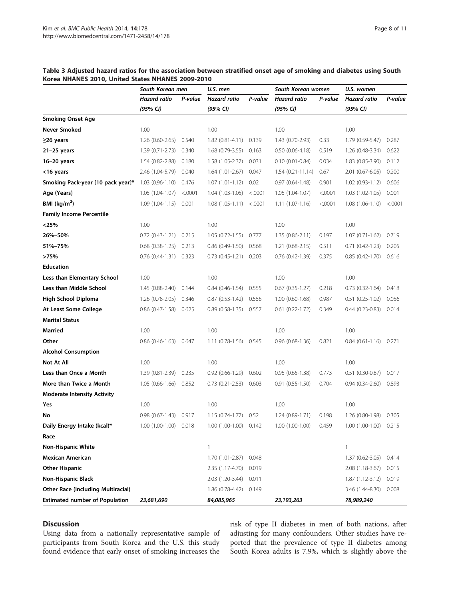|                                           | South Korean men    |         | U.S. men            |         | South Korean women     |         | U.S. women                 |         |
|-------------------------------------------|---------------------|---------|---------------------|---------|------------------------|---------|----------------------------|---------|
|                                           | <b>Hazard</b> ratio | P-value | Hazard ratio        | P-value | <b>Hazard ratio</b>    | P-value | Hazard ratio               | P-value |
|                                           | (95% CI)            |         | (95% CI)            |         | (95% CI)               |         | (95% CI)                   |         |
| <b>Smoking Onset Age</b>                  |                     |         |                     |         |                        |         |                            |         |
| Never Smoked                              | 1.00                |         | 1.00                |         | 1.00                   |         | 1.00                       |         |
| ≥26 years                                 | 1.26 (0.60-2.65)    | 0.540   | $1.82(0.81 - 4.11)$ | 0.139   | 1.43 (0.70-2.93)       | 0.33    | 1.79 (0.59-5.47)           | 0.287   |
| $21-25$ years                             | $1.39(0.71 - 2.73)$ | 0.340   | $1.68(0.79-3.55)$   | 0.163   | $0.50(0.06-4.18)$      | 0.519   | $1.26(0.48-3.34)$          | 0.622   |
| $16-20$ years                             | $1.54(0.82 - 2.88)$ | 0.180   | $1.58(1.05 - 2.37)$ | 0.031   | $0.10(0.01 - 0.84)$    | 0.034   | $1.83(0.85-3.90)$          | 0.112   |
| <16 years                                 | 2.46 (1.04-5.79)    | 0.040   | $1.64(1.01-2.67)$   | 0.047   | $1.54(0.21-11.14)$     | 0.67    | 2.01 (0.67-6.05) 0.200     |         |
| Smoking Pack-year [10 pack year]*         | $1.03(0.96-1.10)$   | 0.476   | $1.07(1.01-1.12)$   | 0.02    | $0.97(0.64 - 1.48)$    | 0.901   | $1.02(0.93-1.12)$          | 0.606   |
| Age (Years)                               | $1.05(1.04-1.07)$   | < 0001  | $1.04(1.03-1.05)$   | < .0001 | 1.05 (1.04-1.07)       | < .0001 | $1.03(1.02-1.05)$          | 0.001   |
| BMI ( $\text{kg/m}^2$ )                   | $1.09(1.04-1.15)$   | 0.001   | $1.08(1.05-1.11)$   | < .0001 | $1.11(1.07-1.16)$      | < .0001 | $1.08(1.06-1.10)$          | < .0001 |
| <b>Family Income Percentile</b>           |                     |         |                     |         |                        |         |                            |         |
| $<$ 25%                                   | 1.00                |         | 1.00                |         | 1.00                   |         | 1.00                       |         |
| 26%-50%                                   | 0.72 (0.43-1.21)    | 0.215   | $1.05(0.72-1.55)$   | 0.777   | $1.35(0.86-2.11)$      | 0.197   | $1.07(0.71 - 1.62)$        | 0.719   |
| 51%-75%                                   | $0.68(0.38-1.25)$   | 0.213   | $0.86(0.49-1.50)$   | 0.568   | $1.21(0.68-2.15)$      | 0.511   | $0.71(0.42-1.23)$          | 0.205   |
| >75%                                      | $0.76(0.44-1.31)$   | 0.323   | $0.73(0.45-1.21)$   | 0.203   | $0.76$ $(0.42 - 1.39)$ | 0.375   | $0.85(0.42 - 1.70)$        | 0.616   |
| <b>Education</b>                          |                     |         |                     |         |                        |         |                            |         |
| Less than Elementary School               | 1.00                |         | 1.00                |         | 1.00                   |         | 1.00                       |         |
| Less than Middle School                   | $1.45(0.88-2.40)$   | 0.144   | $0.84(0.46-1.54)$   | 0.555   | $0.67$ $(0.35-1.27)$   | 0.218   | $0.73(0.32-1.64)$          | 0.418   |
| High School Diploma                       | 1.26 (0.78-2.05)    | 0.346   | $0.87(0.53-1.42)$   | 0.556   | $1.00(0.60-1.68)$      | 0.987   | $0.51(0.25-1.02)$          | 0.056   |
| At Least Some College                     | $0.86$ (0.47-1.58)  | 0.625   | $0.89(0.58-1.35)$   | 0.557   | $0.61$ $(0.22 - 1.72)$ | 0.349   | $0.44(0.23-0.83)$          | 0.014   |
| <b>Marital Status</b>                     |                     |         |                     |         |                        |         |                            |         |
| <b>Married</b>                            | 1.00                |         | 1.00                |         | 1.00                   |         | 1.00                       |         |
| Other                                     | $0.86(0.46-1.63)$   | 0.647   | 1.11 (0.78-1.56)    | 0.545   | $0.96(0.68-1.36)$      | 0.821   | $0.84$ $(0.61-1.16)$ 0.271 |         |
| <b>Alcohol Consumption</b>                |                     |         |                     |         |                        |         |                            |         |
| Not At All                                | 1.00                |         | 1.00                |         | 1.00                   |         | 1.00                       |         |
| Less than Once a Month                    | 1.39 (0.81-2.39)    | 0.235   | $0.92(0.66-1.29)$   | 0.602   | $0.95(0.65-1.38)$      | 0.773   | $0.51(0.30-0.87)$          | 0.017   |
| More than Twice a Month                   | $1.05(0.66-1.66)$   | 0.852   | $0.73(0.21 - 2.53)$ | 0.603   | $0.91(0.55-1.50)$      | 0.704   | $0.94(0.34-2.60)$          | 0.893   |
| <b>Moderate Intensity Activity</b>        |                     |         |                     |         |                        |         |                            |         |
| Yes                                       | 1.00                |         | 1.00                |         | 1.00                   |         | 1.00                       |         |
| No                                        | $0.98(0.67-1.43)$   | 0.917   | $1.15(0.74-1.77)$   | 0.52    | 1.24 (0.89-1.71)       | 0.198   | 1.26 (0.80-1.98)           | 0.305   |
| Daily Energy Intake (kcal)*               | $1.00(1.00-1.00)$   | 0.018   | 1.00 (1.00-1.00)    | 0.142   | 1.00 (1.00-1.00)       | 0.459   | 1.00 (1.00-1.00) 0.215     |         |
| Race                                      |                     |         |                     |         |                        |         |                            |         |
| <b>Non-Hispanic White</b>                 |                     |         | $\mathbf{1}$        |         |                        |         | $\mathbf{1}$               |         |
| <b>Mexican American</b>                   |                     |         | 1.70 (1.01-2.87)    | 0.048   |                        |         | $1.37(0.62 - 3.05)$        | 0.414   |
| Other Hispanic                            |                     |         | 2.35 (1.17-4.70)    | 0.019   |                        |         | $2.08(1.18-3.67)$          | 0.015   |
| Non-Hispanic Black                        |                     |         | 2.03 (1.20-3.44)    | 0.011   |                        |         | $1.87(1.12-3.12)$          | 0.019   |
| <b>Other Race (Including Multiracial)</b> |                     |         | 1.86 (0.78-4.42)    | 0.149   |                        |         | 3.46 (1.44-8.30)           | 0.008   |
| <b>Estimated number of Population</b>     | 23,681,690          |         | 84,085,965          |         | 23,193,263             |         | 78,989,240                 |         |

#### <span id="page-7-0"></span>Table 3 Adjusted hazard ratios for the association between stratified onset age of smoking and diabetes using South Korea NHANES 2010, United States NHANES 2009-2010

# Discussion

Using data from a nationally representative sample of participants from South Korea and the U.S. this study found evidence that early onset of smoking increases the risk of type II diabetes in men of both nations, after adjusting for many confounders. Other studies have reported that the prevalence of type II diabetes among South Korea adults is 7.9%, which is slightly above the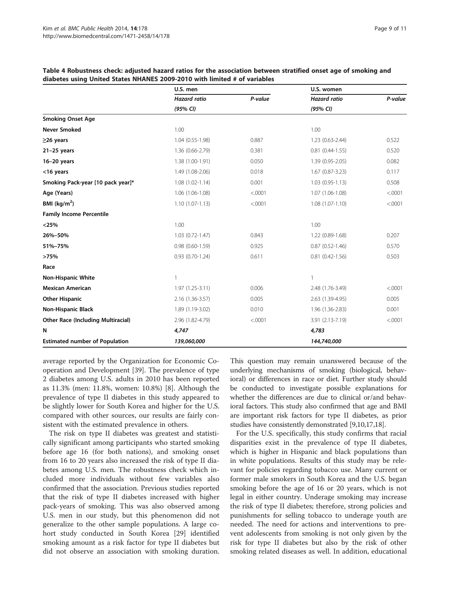|                                           | U.S. men            |         | U.S. women             |         |  |
|-------------------------------------------|---------------------|---------|------------------------|---------|--|
|                                           | <b>Hazard ratio</b> | P-value | <b>Hazard ratio</b>    | P-value |  |
|                                           | (95% CI)            |         | (95% CI)               |         |  |
| <b>Smoking Onset Age</b>                  |                     |         |                        |         |  |
| <b>Never Smoked</b>                       | 1.00                |         | 1.00                   |         |  |
| $\geq$ 26 years                           | 1.04 (0.55-1.98)    | 0.887   | 1.23 (0.63-2.44)       | 0.522   |  |
| $21-25$ years                             | 1.36 (0.66-2.79)    | 0.381   | $0.81(0.44 - 1.55)$    | 0.520   |  |
| $16-20$ years                             | 1.38 (1.00-1.91)    | 0.050   | 1.39 (0.95-2.05)       | 0.082   |  |
| <16 years                                 | 1.49 (1.08-2.06)    | 0.018   | $1.67(0.87 - 3.23)$    | 0.117   |  |
| Smoking Pack-year [10 pack year]*         | $1.08(1.02 - 1.14)$ | 0.001   | $1.03(0.95-1.13)$      | 0.508   |  |
| Age (Years)                               | 1.06 (1.06-1.08)    | < .0001 | 1.07 (1.06-1.08)       | < .0001 |  |
| BMI ( $\text{kg/m}^2$ )                   | $1.10(1.07-1.13)$   | < .0001 | $1.08(1.07-1.10)$      | < .0001 |  |
| <b>Family Income Percentile</b>           |                     |         |                        |         |  |
| < 25%                                     | 1.00                |         | 1.00                   |         |  |
| 26%-50%                                   | $1.03(0.72 - 1.47)$ | 0.843   | 1.22 (0.89-1.68)       | 0.207   |  |
| 51%-75%                                   | $0.98(0.60-1.59)$   | 0.925   | $0.87(0.52 - 1.46)$    | 0.570   |  |
| >75%                                      | $0.93(0.70-1.24)$   | 0.611   | $0.81$ $(0.42 - 1.56)$ | 0.503   |  |
| Race                                      |                     |         |                        |         |  |
| <b>Non-Hispanic White</b>                 |                     |         | 1                      |         |  |
| <b>Mexican American</b>                   | 1.97 (1.25-3.11)    | 0.006   | 2.48 (1.76-3.49)       | < .0001 |  |
| <b>Other Hispanic</b>                     | 2.16 (1.36-3.57)    | 0.005   | 2.63 (1.39-4.95)       | 0.005   |  |
| <b>Non-Hispanic Black</b>                 | 1.89 (1.19-3.02)    | 0.010   | 1.96 (1.36-2.83)       | 0.001   |  |
| <b>Other Race (Including Multiracial)</b> | 2.96 (1.82-4.79)    | < .0001 | 3.91 (2.13-7.19)       | < .0001 |  |
| N                                         | 4,747               |         | 4,783                  |         |  |
| <b>Estimated number of Population</b>     | 139,060,000         |         | 144,740,000            |         |  |

<span id="page-8-0"></span>Table 4 Robustness check: adjusted hazard ratios for the association between stratified onset age of smoking and diabetes using United States NHANES 2009-2010 with limited # of variables

average reported by the Organization for Economic Cooperation and Development [[39\]](#page-10-0). The prevalence of type 2 diabetes among U.S. adults in 2010 has been reported as 11.3% (men: 11.8%, women: 10.8%) [[8\]](#page-10-0). Although the prevalence of type II diabetes in this study appeared to be slightly lower for South Korea and higher for the U.S. compared with other sources, our results are fairly consistent with the estimated prevalence in others.

The risk on type II diabetes was greatest and statistically significant among participants who started smoking before age 16 (for both nations), and smoking onset from 16 to 20 years also increased the risk of type II diabetes among U.S. men. The robustness check which included more individuals without few variables also confirmed that the association. Previous studies reported that the risk of type II diabetes increased with higher pack-years of smoking. This was also observed among U.S. men in our study, but this phenomenon did not generalize to the other sample populations. A large cohort study conducted in South Korea [\[29](#page-10-0)] identified smoking amount as a risk factor for type II diabetes but did not observe an association with smoking duration. This question may remain unanswered because of the underlying mechanisms of smoking (biological, behavioral) or differences in race or diet. Further study should be conducted to investigate possible explanations for whether the differences are due to clinical or/and behavioral factors. This study also confirmed that age and BMI are important risk factors for type II diabetes, as prior studies have consistently demonstrated [\[9,10,17,18\]](#page-10-0).

For the U.S. specifically, this study confirms that racial disparities exist in the prevalence of type II diabetes, which is higher in Hispanic and black populations than in white populations. Results of this study may be relevant for policies regarding tobacco use. Many current or former male smokers in South Korea and the U.S. began smoking before the age of 16 or 20 years, which is not legal in either country. Underage smoking may increase the risk of type II diabetes; therefore, strong policies and punishments for selling tobacco to underage youth are needed. The need for actions and interventions to prevent adolescents from smoking is not only given by the risk for type II diabetes but also by the risk of other smoking related diseases as well. In addition, educational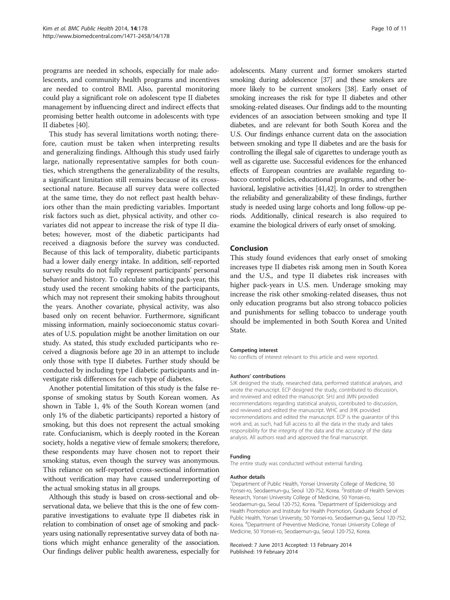programs are needed in schools, especially for male adolescents, and community health programs and incentives are needed to control BMI. Also, parental monitoring could play a significant role on adolescent type II diabetes management by influencing direct and indirect effects that promising better health outcome in adolescents with type II diabetes [[40](#page-10-0)].

This study has several limitations worth noting; therefore, caution must be taken when interpreting results and generalizing findings. Although this study used fairly large, nationally representative samples for both counties, which strengthens the generalizability of the results, a significant limitation still remains because of its crosssectional nature. Because all survey data were collected at the same time, they do not reflect past health behaviors other than the main predicting variables. Important risk factors such as diet, physical activity, and other covariates did not appear to increase the risk of type II diabetes; however, most of the diabetic participants had received a diagnosis before the survey was conducted. Because of this lack of temporality, diabetic participants had a lower daily energy intake. In addition, self-reported survey results do not fully represent participants' personal behavior and history. To calculate smoking pack-year, this study used the recent smoking habits of the participants, which may not represent their smoking habits throughout the years. Another covariate, physical activity, was also based only on recent behavior. Furthermore, significant missing information, mainly socioeconomic status covariates of U.S. population might be another limitation on our study. As stated, this study excluded participants who received a diagnosis before age 20 in an attempt to include only those with type II diabetes. Further study should be conducted by including type I diabetic participants and investigate risk differences for each type of diabetes.

Another potential limitation of this study is the false response of smoking status by South Korean women. As shown in Table [1,](#page-4-0) 4% of the South Korean women (and only 1% of the diabetic participants) reported a history of smoking, but this does not represent the actual smoking rate. Confucianism, which is deeply rooted in the Korean society, holds a negative view of female smokers; therefore, these respondents may have chosen not to report their smoking status, even though the survey was anonymous. This reliance on self-reported cross-sectional information without verification may have caused underreporting of the actual smoking status in all groups.

Although this study is based on cross-sectional and observational data, we believe that this is the one of few comparative investigations to evaluate type II diabetes risk in relation to combination of onset age of smoking and packyears using nationally representative survey data of both nations which might enhance generality of the association. Our findings deliver public health awareness, especially for adolescents. Many current and former smokers started smoking during adolescence [[37](#page-10-0)] and these smokers are more likely to be current smokers [[38\]](#page-10-0). Early onset of smoking increases the risk for type II diabetes and other smoking-related diseases. Our findings add to the mounting evidences of an association between smoking and type II diabetes, and are relevant for both South Korea and the U.S. Our findings enhance current data on the association between smoking and type II diabetes and are the basis for controlling the illegal sale of cigarettes to underage youth as well as cigarette use. Successful evidences for the enhanced effects of European countries are available regarding tobacco control policies, educational programs, and other behavioral, legislative activities [\[41,42\]](#page-10-0). In order to strengthen the reliability and generalizability of these findings, further study is needed using large cohorts and long follow-up periods. Additionally, clinical research is also required to examine the biological drivers of early onset of smoking.

#### Conclusion

This study found evidences that early onset of smoking increases type II diabetes risk among men in South Korea and the U.S., and type II diabetes risk increases with higher pack-years in U.S. men. Underage smoking may increase the risk other smoking-related diseases, thus not only education programs but also strong tobacco policies and punishments for selling tobacco to underage youth should be implemented in both South Korea and United State.

#### Competing interest

No conflicts of interest relevant to this article and were reported.

#### Authors' contributions

SJK designed the study, researched data, performed statistical analyses, and wrote the manuscript. ECP designed the study, contributed to discussion, and reviewed and edited the manuscript. SHJ and JMN provided recommendations regarding statistical analysis, contributed to discussion, and reviewed and edited the manuscript. WHC and JHK provided recommendations and edited the manuscript. ECP is the guarantor of this work and, as such, had full access to all the data in the study and takes responsibility for the integrity of the data and the accuracy of the data analysis. All authors read and approved the final manuscript.

#### Funding

The entire study was conducted without external funding.

#### Author details

<sup>1</sup>Department of Public Health, Yonsei University College of Medicine, 50 Yonsei-ro, Seodaemun-gu, Seoul 120-752, Korea. <sup>2</sup>Institute of Health Services Research, Yonsei University College of Medicine, 50 Yonsei-ro, Seodaemun-gu, Seoul 120-752, Korea. <sup>3</sup>Department of Epidemiology and Health Promotion and Institute for Health Promotion, Graduate School of Public Health, Yonsei University, 50 Yonsei-ro, Seodaemun-gu, Seoul 120-752, Korea. <sup>4</sup> Department of Preventive Medicine, Yonsei University College of Medicine, 50 Yonsei-ro, Seodaemun-gu, Seoul 120-752, Korea.

#### Received: 7 June 2013 Accepted: 13 February 2014 Published: 19 February 2014